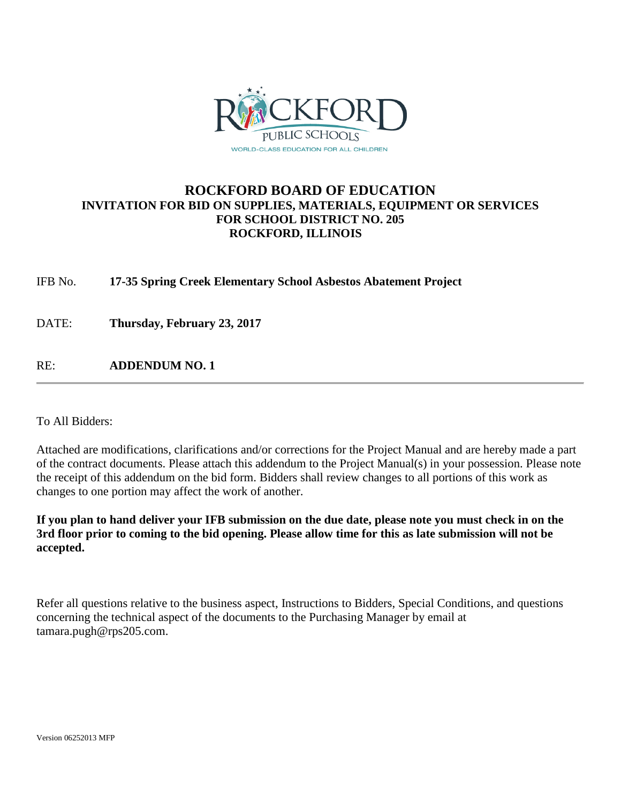

## **ROCKFORD BOARD OF EDUCATION INVITATION FOR BID ON SUPPLIES, MATERIALS, EQUIPMENT OR SERVICES FOR SCHOOL DISTRICT NO. 205 ROCKFORD, ILLINOIS**

IFB No. **17-35 Spring Creek Elementary School Asbestos Abatement Project**

DATE: **Thursday, February 23, 2017**

RE: **ADDENDUM NO. 1**

To All Bidders:

Attached are modifications, clarifications and/or corrections for the Project Manual and are hereby made a part of the contract documents. Please attach this addendum to the Project Manual(s) in your possession. Please note the receipt of this addendum on the bid form. Bidders shall review changes to all portions of this work as changes to one portion may affect the work of another.

**If you plan to hand deliver your IFB submission on the due date, please note you must check in on the 3rd floor prior to coming to the bid opening. Please allow time for this as late submission will not be accepted.**

Refer all questions relative to the business aspect, Instructions to Bidders, Special Conditions, and questions concerning the technical aspect of the documents to the Purchasing Manager by email at tamara.pugh@rps205.com.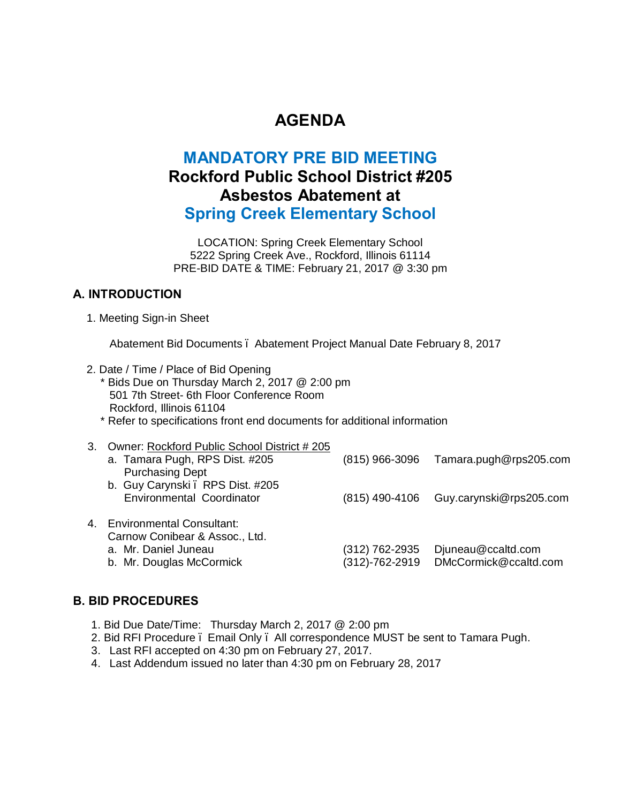# **AGENDA**

# **MANDATORY PRE BID MEETING Rockford Public School District #205 Asbestos Abatement at Spring Creek Elementary School**

LOCATION: Spring Creek Elementary School 5222 Spring Creek Ave., Rockford, Illinois 61114 PRE-BID DATE & TIME: February 21, 2017 @ 3:30 pm

## **A. INTRODUCTION**

1. Meeting Sign-in Sheet

Abatement Bid Documents – Abatement Project Manual Date February 8, 2017

- 2. Date / Time / Place of Bid Opening
	- \* Bids Due on Thursday March 2, 2017 @ 2:00 pm 501 7th Street- 6th Floor Conference Room Rockford, Illinois 61104
		- \* Refer to specifications front end documents for additional information

|    | 3. Owner: Rockford Public School District #205 |                |                         |
|----|------------------------------------------------|----------------|-------------------------|
|    | a. Tamara Pugh, RPS Dist. #205                 | (815) 966-3096 | Tamara.pugh@rps205.com  |
|    | <b>Purchasing Dept</b>                         |                |                         |
|    | b. Guy Carynski . RPS Dist. #205               |                |                         |
|    | <b>Environmental Coordinator</b>               | (815) 490-4106 | Guy.carynski@rps205.com |
|    |                                                |                |                         |
| 4. | <b>Environmental Consultant:</b>               |                |                         |
|    | Carnow Conibear & Assoc., Ltd.                 |                |                         |
|    | a. Mr. Daniel Juneau                           | (312) 762-2935 | Djuneau@ccaltd.com      |
|    | b. Mr. Douglas McCormick                       | (312)-762-2919 | DMcCormick@ccaltd.com   |
|    |                                                |                |                         |

## **B. BID PROCEDURES**

- 1. Bid Due Date/Time: Thursday March 2, 2017 @ 2:00 pm
- 2. Bid RFI Procedure Email Only All correspondence MUST be sent to Tamara Pugh.
- 3. Last RFI accepted on 4:30 pm on February 27, 2017.
- 4. Last Addendum issued no later than 4:30 pm on February 28, 2017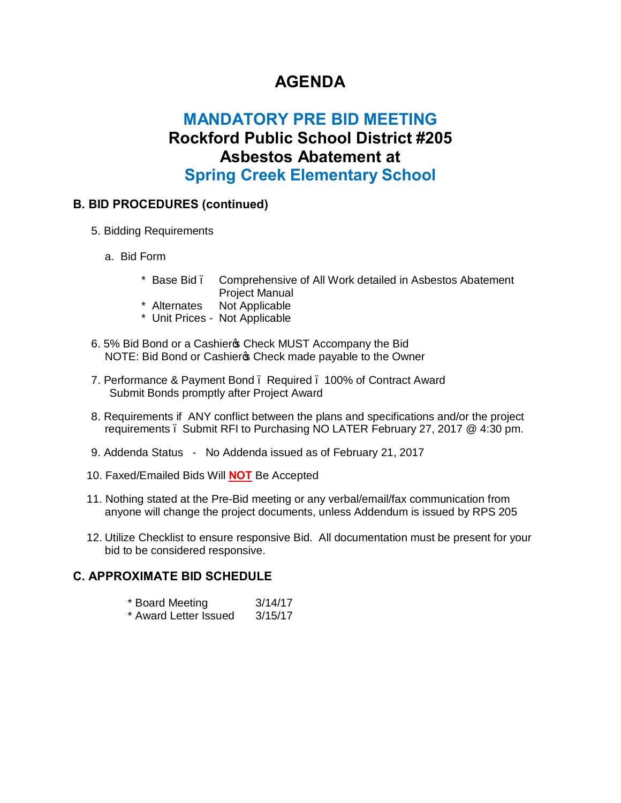# **AGENDA**

# **MANDATORY PRE BID MEETING Rockford Public School District #205 Asbestos Abatement at Spring Creek Elementary School**

## **B. BID PROCEDURES (continued)**

- 5. Bidding Requirements
	- a. Bid Form
		- \* Base Bid Comprehensive of All Work detailed in Asbestos Abatement Project Manual
		- \* Alternates Not Applicable
		- \* Unit Prices Not Applicable
- 6. 5% Bid Bond or a Cashier & Check MUST Accompany the Bid NOTE: Bid Bond or Cashier & Check made payable to the Owner
- 7. Performance & Payment Bond Required 100% of Contract Award Submit Bonds promptly after Project Award
- 8. Requirements if ANY conflict between the plans and specifications and/or the project requirements – Submit RFI to Purchasing NO LATER February 27, 2017 @ 4:30 pm.
- 9. Addenda Status No Addenda issued as of February 21, 2017
- 10. Faxed/Emailed Bids Will **NOT** Be Accepted
- 11. Nothing stated at the Pre-Bid meeting or any verbal/email/fax communication from anyone will change the project documents, unless Addendum is issued by RPS 205
- 12. Utilize Checklist to ensure responsive Bid. All documentation must be present for your bid to be considered responsive.

## **C. APPROXIMATE BID SCHEDULE**

| * Board Meeting |  |  | 3/14/17      |
|-----------------|--|--|--------------|
| $\mathbf{r}$    |  |  | $-11 - 11 -$ |

\* Award Letter Issued 3/15/17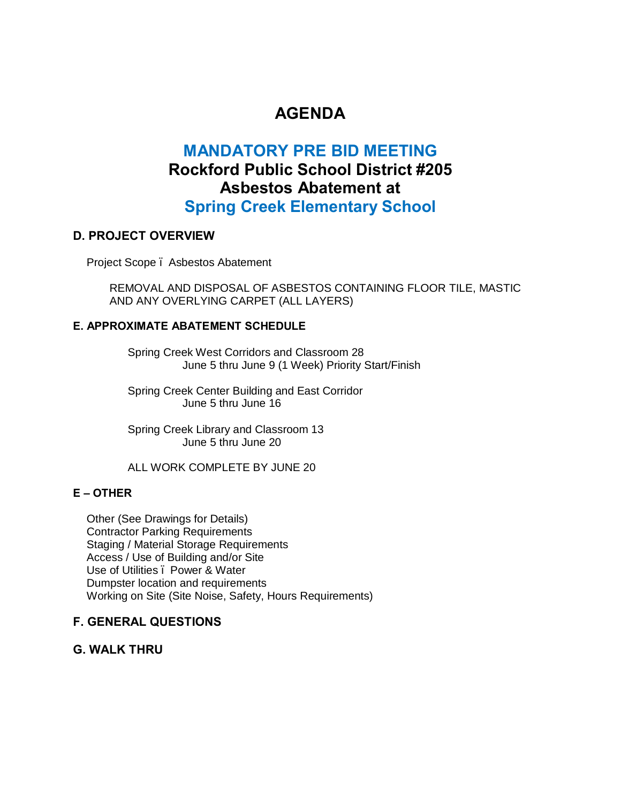# **AGENDA**

# **MANDATORY PRE BID MEETING Rockford Public School District #205 Asbestos Abatement at Spring Creek Elementary School**

#### **D. PROJECT OVERVIEW**

Project Scope – Asbestos Abatement

REMOVAL AND DISPOSAL OF ASBESTOS CONTAINING FLOOR TILE, MASTIC AND ANY OVERLYING CARPET (ALL LAYERS)

#### **E. APPROXIMATE ABATEMENT SCHEDULE**

Spring Creek West Corridors and Classroom 28 June 5 thru June 9 (1 Week) Priority Start/Finish

Spring Creek Center Building and East Corridor June 5 thru June 16

Spring Creek Library and Classroom 13 June 5 thru June 20

#### ALL WORK COMPLETE BY JUNE 20

#### **E – OTHER**

Other (See Drawings for Details) Contractor Parking Requirements Staging / Material Storage Requirements Access / Use of Building and/or Site Use of Utilities . Power & Water Dumpster location and requirements Working on Site (Site Noise, Safety, Hours Requirements)

## **F. GENERAL QUESTIONS**

**G. WALK THRU**